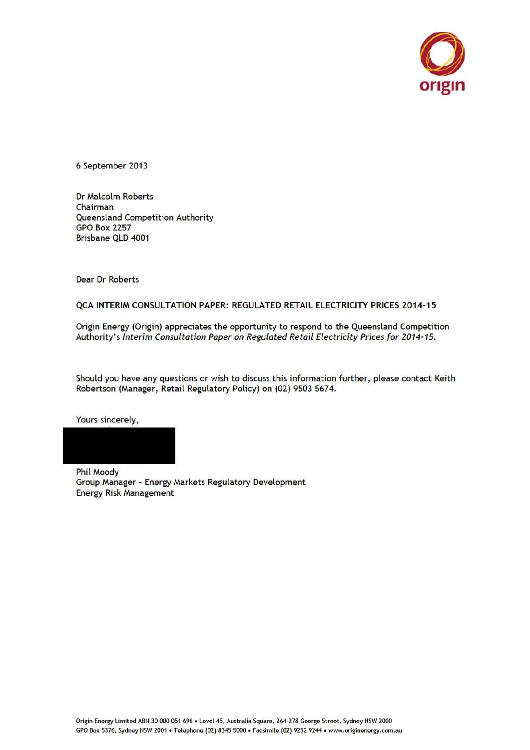

6 September 2013

Dr Malcolm Roberts Chairman Queensland Competition Authority GPO Box 2257 Brisbane QLD 4001

Dear Dr Roberts

#### QCA INTERIM CONSULTATION PAPER: REGULATED RETAIL ELECTRICITY PRICES 2014-15

Origin Energy (Origin) appreciates the opportunity to respond to the Queensland Competition Authority's Interim Consultation Paper on Regulated Retail Electricity Prices for 2014-15.

Should you have any questions or wish to discuss this information further, please contact Keith Robertson (Manager, Retail Regulatory Policy) on (02) 9503 5674.

Yours sincerely,



Group Manager - Energy Markets Regulatory Development Energy Risk Management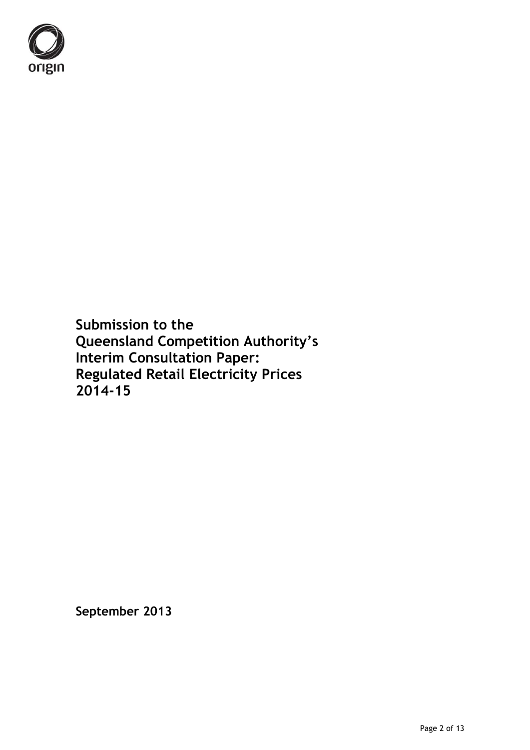

**Submission to the Queensland Competition Authority's Interim Consultation Paper: Regulated Retail Electricity Prices 2014-15**

**September 2013**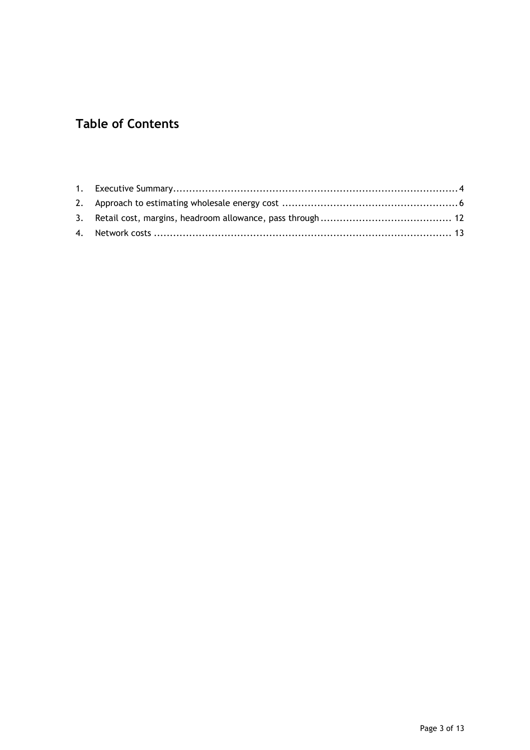# **Table of Contents**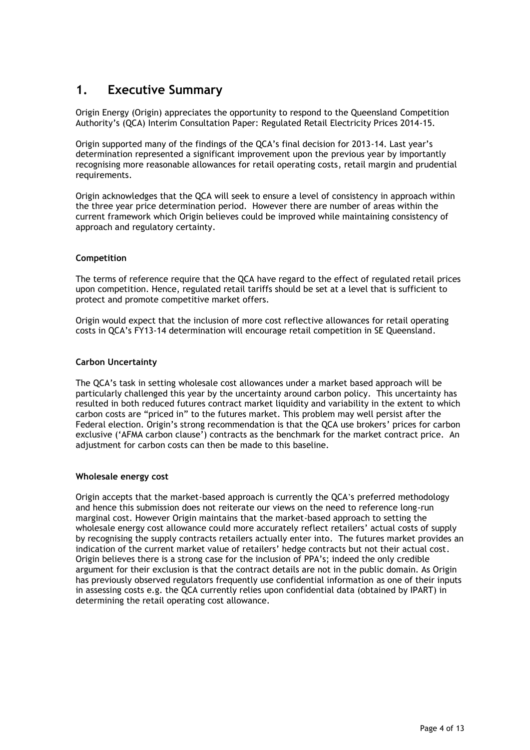## **1. Executive Summary**

Origin Energy (Origin) appreciates the opportunity to respond to the Queensland Competition Authority"s (QCA) Interim Consultation Paper: Regulated Retail Electricity Prices 2014-15.

Origin supported many of the findings of the QCA"s final decision for 2013-14. Last year"s determination represented a significant improvement upon the previous year by importantly recognising more reasonable allowances for retail operating costs, retail margin and prudential requirements.

Origin acknowledges that the QCA will seek to ensure a level of consistency in approach within the three year price determination period. However there are number of areas within the current framework which Origin believes could be improved while maintaining consistency of approach and regulatory certainty.

#### **Competition**

The terms of reference require that the QCA have regard to the effect of regulated retail prices upon competition. Hence, regulated retail tariffs should be set at a level that is sufficient to protect and promote competitive market offers.

Origin would expect that the inclusion of more cost reflective allowances for retail operating costs in QCA"s FY13-14 determination will encourage retail competition in SE Queensland.

#### **Carbon Uncertainty**

The QCA"s task in setting wholesale cost allowances under a market based approach will be particularly challenged this year by the uncertainty around carbon policy. This uncertainty has resulted in both reduced futures contract market liquidity and variability in the extent to which carbon costs are "priced in" to the futures market. This problem may well persist after the Federal election. Origin's strong recommendation is that the QCA use brokers' prices for carbon exclusive ("AFMA carbon clause") contracts as the benchmark for the market contract price. An adjustment for carbon costs can then be made to this baseline.

#### **Wholesale energy cost**

Origin accepts that the market-based approach is currently the QCA's preferred methodology and hence this submission does not reiterate our views on the need to reference long-run marginal cost. However Origin maintains that the market-based approach to setting the wholesale energy cost allowance could more accurately reflect retailers" actual costs of supply by recognising the supply contracts retailers actually enter into. The futures market provides an indication of the current market value of retailers' hedge contracts but not their actual cost. Origin believes there is a strong case for the inclusion of PPA"s; indeed the only credible argument for their exclusion is that the contract details are not in the public domain. As Origin has previously observed regulators frequently use confidential information as one of their inputs in assessing costs e.g. the QCA currently relies upon confidential data (obtained by IPART) in determining the retail operating cost allowance.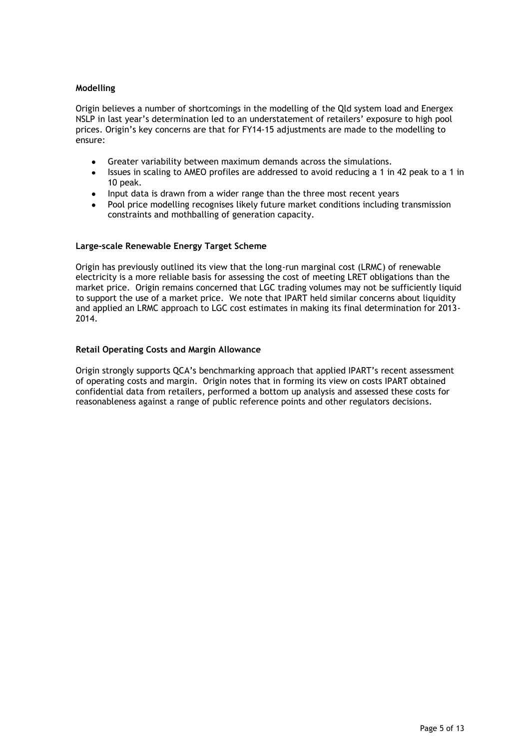#### **Modelling**

Origin believes a number of shortcomings in the modelling of the Qld system load and Energex NSLP in last year's determination led to an understatement of retailers' exposure to high pool prices. Origin"s key concerns are that for FY14-15 adjustments are made to the modelling to ensure:

- Greater variability between maximum demands across the simulations.  $\bullet$
- $\bullet$ Issues in scaling to AMEO profiles are addressed to avoid reducing a 1 in 42 peak to a 1 in 10 peak.
- Input data is drawn from a wider range than the three most recent years  $\bullet$
- Pool price modelling recognises likely future market conditions including transmission constraints and mothballing of generation capacity.

#### **Large-scale Renewable Energy Target Scheme**

Origin has previously outlined its view that the long-run marginal cost (LRMC) of renewable electricity is a more reliable basis for assessing the cost of meeting LRET obligations than the market price. Origin remains concerned that LGC trading volumes may not be sufficiently liquid to support the use of a market price. We note that IPART held similar concerns about liquidity and applied an LRMC approach to LGC cost estimates in making its final determination for 2013- 2014.

#### **Retail Operating Costs and Margin Allowance**

Origin strongly supports QCA"s benchmarking approach that applied IPART"s recent assessment of operating costs and margin. Origin notes that in forming its view on costs IPART obtained confidential data from retailers, performed a bottom up analysis and assessed these costs for reasonableness against a range of public reference points and other regulators decisions.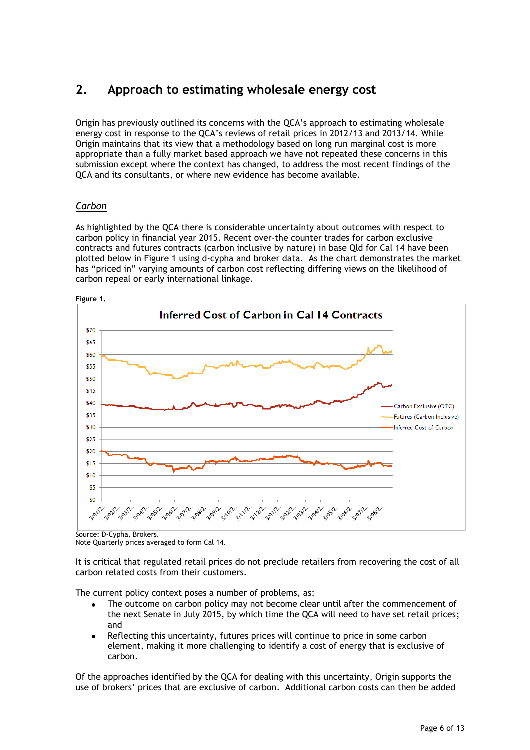# **2. Approach to estimating wholesale energy cost**

Origin has previously outlined its concerns with the QCA"s approach to estimating wholesale energy cost in response to the QCA"s reviews of retail prices in 2012/13 and 2013/14. While Origin maintains that its view that a methodology based on long run marginal cost is more appropriate than a fully market based approach we have not repeated these concerns in this submission except where the context has changed, to address the most recent findings of the QCA and its consultants, or where new evidence has become available.

## *Carbon*

As highlighted by the QCA there is considerable uncertainty about outcomes with respect to carbon policy in financial year 2015. Recent over-the counter trades for carbon exclusive contracts and futures contracts (carbon inclusive by nature) in base Qld for Cal 14 have been plotted below in Figure 1 using d-cypha and broker data. As the chart demonstrates the market has "priced in" varying amounts of carbon cost reflecting differing views on the likelihood of carbon repeal or early international linkage.



Source: D-Cypha, Brokers.

Note Quarterly prices averaged to form Cal 14.

It is critical that regulated retail prices do not preclude retailers from recovering the cost of all carbon related costs from their customers.

The current policy context poses a number of problems, as:

- The outcome on carbon policy may not become clear until after the commencement of the next Senate in July 2015, by which time the QCA will need to have set retail prices; and
- Reflecting this uncertainty, futures prices will continue to price in some carbon element, making it more challenging to identify a cost of energy that is exclusive of carbon.

Of the approaches identified by the QCA for dealing with this uncertainty, Origin supports the use of brokers" prices that are exclusive of carbon. Additional carbon costs can then be added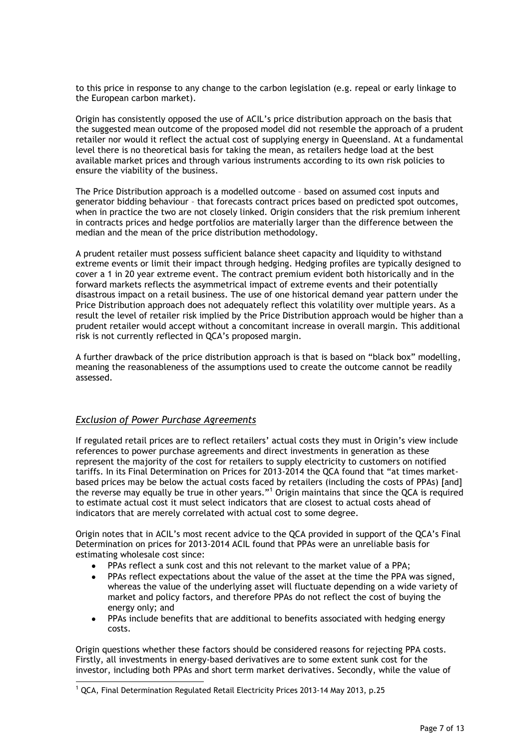to this price in response to any change to the carbon legislation (e.g. repeal or early linkage to the European carbon market).

Origin has consistently opposed the use of ACIL"s price distribution approach on the basis that the suggested mean outcome of the proposed model did not resemble the approach of a prudent retailer nor would it reflect the actual cost of supplying energy in Queensland. At a fundamental level there is no theoretical basis for taking the mean, as retailers hedge load at the best available market prices and through various instruments according to its own risk policies to ensure the viability of the business.

The Price Distribution approach is a modelled outcome – based on assumed cost inputs and generator bidding behaviour – that forecasts contract prices based on predicted spot outcomes, when in practice the two are not closely linked. Origin considers that the risk premium inherent in contracts prices and hedge portfolios are materially larger than the difference between the median and the mean of the price distribution methodology.

A prudent retailer must possess sufficient balance sheet capacity and liquidity to withstand extreme events or limit their impact through hedging. Hedging profiles are typically designed to cover a 1 in 20 year extreme event. The contract premium evident both historically and in the forward markets reflects the asymmetrical impact of extreme events and their potentially disastrous impact on a retail business. The use of one historical demand year pattern under the Price Distribution approach does not adequately reflect this volatility over multiple years. As a result the level of retailer risk implied by the Price Distribution approach would be higher than a prudent retailer would accept without a concomitant increase in overall margin. This additional risk is not currently reflected in QCA"s proposed margin.

A further drawback of the price distribution approach is that is based on "black box" modelling, meaning the reasonableness of the assumptions used to create the outcome cannot be readily assessed.

#### *Exclusion of Power Purchase Agreements*

-

If regulated retail prices are to reflect retailers' actual costs they must in Origin's view include references to power purchase agreements and direct investments in generation as these represent the majority of the cost for retailers to supply electricity to customers on notified tariffs. In its Final Determination on Prices for 2013-2014 the QCA found that "at times marketbased prices may be below the actual costs faced by retailers (including the costs of PPAs) [and] the reverse may equally be true in other years."<sup>1</sup> Origin maintains that since the QCA is required to estimate actual cost it must select indicators that are closest to actual costs ahead of indicators that are merely correlated with actual cost to some degree.

Origin notes that in ACIL"s most recent advice to the QCA provided in support of the QCA"s Final Determination on prices for 2013-2014 ACIL found that PPAs were an unreliable basis for estimating wholesale cost since:

- PPAs reflect a sunk cost and this not relevant to the market value of a PPA;
- PPAs reflect expectations about the value of the asset at the time the PPA was signed, whereas the value of the underlying asset will fluctuate depending on a wide variety of market and policy factors, and therefore PPAs do not reflect the cost of buying the energy only; and
- PPAs include benefits that are additional to benefits associated with hedging energy  $\bullet$ costs.

Origin questions whether these factors should be considered reasons for rejecting PPA costs. Firstly, all investments in energy-based derivatives are to some extent sunk cost for the investor, including both PPAs and short term market derivatives. Secondly, while the value of

 $1$  QCA, Final Determination Regulated Retail Electricity Prices 2013-14 May 2013, p.25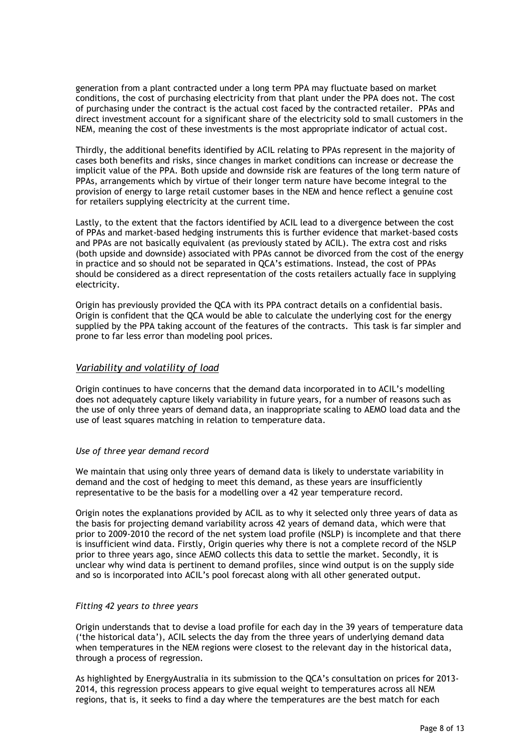generation from a plant contracted under a long term PPA may fluctuate based on market conditions, the cost of purchasing electricity from that plant under the PPA does not. The cost of purchasing under the contract is the actual cost faced by the contracted retailer. PPAs and direct investment account for a significant share of the electricity sold to small customers in the NEM, meaning the cost of these investments is the most appropriate indicator of actual cost.

Thirdly, the additional benefits identified by ACIL relating to PPAs represent in the majority of cases both benefits and risks, since changes in market conditions can increase or decrease the implicit value of the PPA. Both upside and downside risk are features of the long term nature of PPAs, arrangements which by virtue of their longer term nature have become integral to the provision of energy to large retail customer bases in the NEM and hence reflect a genuine cost for retailers supplying electricity at the current time.

Lastly, to the extent that the factors identified by ACIL lead to a divergence between the cost of PPAs and market-based hedging instruments this is further evidence that market-based costs and PPAs are not basically equivalent (as previously stated by ACIL). The extra cost and risks (both upside and downside) associated with PPAs cannot be divorced from the cost of the energy in practice and so should not be separated in QCA"s estimations. Instead, the cost of PPAs should be considered as a direct representation of the costs retailers actually face in supplying electricity.

Origin has previously provided the QCA with its PPA contract details on a confidential basis. Origin is confident that the QCA would be able to calculate the underlying cost for the energy supplied by the PPA taking account of the features of the contracts. This task is far simpler and prone to far less error than modeling pool prices.

#### *Variability and volatility of load*

Origin continues to have concerns that the demand data incorporated in to ACIL"s modelling does not adequately capture likely variability in future years, for a number of reasons such as the use of only three years of demand data, an inappropriate scaling to AEMO load data and the use of least squares matching in relation to temperature data.

#### *Use of three year demand record*

We maintain that using only three years of demand data is likely to understate variability in demand and the cost of hedging to meet this demand, as these years are insufficiently representative to be the basis for a modelling over a 42 year temperature record.

Origin notes the explanations provided by ACIL as to why it selected only three years of data as the basis for projecting demand variability across 42 years of demand data, which were that prior to 2009-2010 the record of the net system load profile (NSLP) is incomplete and that there is insufficient wind data. Firstly, Origin queries why there is not a complete record of the NSLP prior to three years ago, since AEMO collects this data to settle the market. Secondly, it is unclear why wind data is pertinent to demand profiles, since wind output is on the supply side and so is incorporated into ACIL"s pool forecast along with all other generated output.

#### *Fitting 42 years to three years*

Origin understands that to devise a load profile for each day in the 39 years of temperature data ("the historical data"), ACIL selects the day from the three years of underlying demand data when temperatures in the NEM regions were closest to the relevant day in the historical data, through a process of regression.

As highlighted by EnergyAustralia in its submission to the QCA"s consultation on prices for 2013- 2014, this regression process appears to give equal weight to temperatures across all NEM regions, that is, it seeks to find a day where the temperatures are the best match for each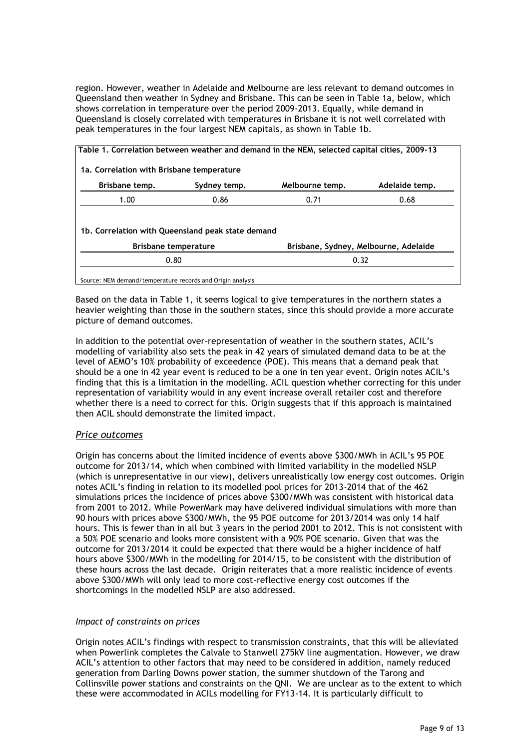region. However, weather in Adelaide and Melbourne are less relevant to demand outcomes in Queensland then weather in Sydney and Brisbane. This can be seen in Table 1a, below, which shows correlation in temperature over the period 2009-2013. Equally, while demand in Queensland is closely correlated with temperatures in Brisbane it is not well correlated with peak temperatures in the four largest NEM capitals, as shown in Table 1b.

| 1a. Correlation with Brisbane temperature |                                                                                  |                                       |                |
|-------------------------------------------|----------------------------------------------------------------------------------|---------------------------------------|----------------|
| Brisbane temp.                            | Sydney temp.                                                                     | Melbourne temp.                       | Adelaide temp. |
| 1.00                                      | 0.86                                                                             | 0.71                                  | 0.68           |
|                                           |                                                                                  |                                       |                |
|                                           | 1b. Correlation with Queensland peak state demand<br><b>Brisbane temperature</b> | Brisbane, Sydney, Melbourne, Adelaide |                |

Based on the data in Table 1, it seems logical to give temperatures in the northern states a heavier weighting than those in the southern states, since this should provide a more accurate picture of demand outcomes.

In addition to the potential over-representation of weather in the southern states, ACIL"s modelling of variability also sets the peak in 42 years of simulated demand data to be at the level of AEMO"s 10% probability of exceedence (POE). This means that a demand peak that should be a one in 42 year event is reduced to be a one in ten year event. Origin notes ACIL"s finding that this is a limitation in the modelling. ACIL question whether correcting for this under representation of variability would in any event increase overall retailer cost and therefore whether there is a need to correct for this. Origin suggests that if this approach is maintained then ACIL should demonstrate the limited impact.

## *Price outcomes*

Origin has concerns about the limited incidence of events above \$300/MWh in ACIL"s 95 POE outcome for 2013/14, which when combined with limited variability in the modelled NSLP (which is unrepresentative in our view), delivers unrealistically low energy cost outcomes. Origin notes ACIL"s finding in relation to its modelled pool prices for 2013-2014 that of the 462 simulations prices the incidence of prices above \$300/MWh was consistent with historical data from 2001 to 2012. While PowerMark may have delivered individual simulations with more than 90 hours with prices above \$300/MWh, the 95 POE outcome for 2013/2014 was only 14 half hours. This is fewer than in all but 3 years in the period 2001 to 2012. This is not consistent with a 50% POE scenario and looks more consistent with a 90% POE scenario. Given that was the outcome for 2013/2014 it could be expected that there would be a higher incidence of half hours above \$300/MWh in the modelling for 2014/15, to be consistent with the distribution of these hours across the last decade. Origin reiterates that a more realistic incidence of events above \$300/MWh will only lead to more cost-reflective energy cost outcomes if the shortcomings in the modelled NSLP are also addressed.

#### *Impact of constraints on prices*

Origin notes ACIL"s findings with respect to transmission constraints, that this will be alleviated when Powerlink completes the Calvale to Stanwell 275kV line augmentation. However, we draw ACIL"s attention to other factors that may need to be considered in addition, namely reduced generation from Darling Downs power station, the summer shutdown of the Tarong and Collinsville power stations and constraints on the QNI. We are unclear as to the extent to which these were accommodated in ACILs modelling for FY13-14. It is particularly difficult to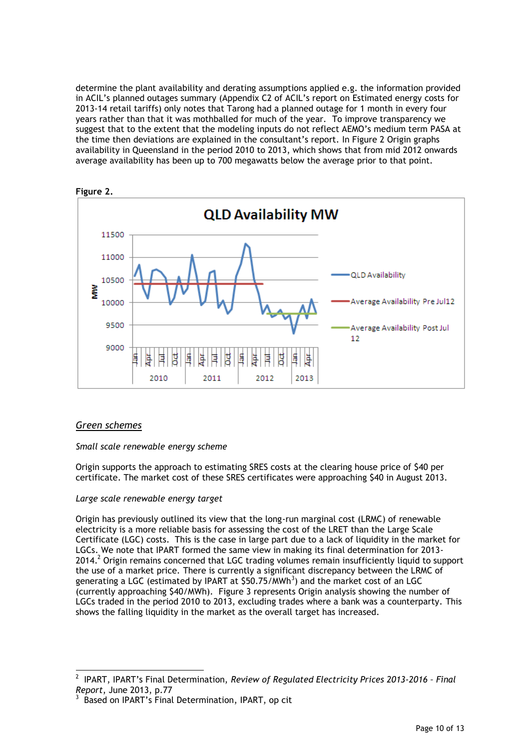determine the plant availability and derating assumptions applied e.g. the information provided in ACIL"s planned outages summary (Appendix C2 of ACIL"s report on Estimated energy costs for 2013-14 retail tariffs) only notes that Tarong had a planned outage for 1 month in every four years rather than that it was mothballed for much of the year. To improve transparency we suggest that to the extent that the modeling inputs do not reflect AEMO"s medium term PASA at the time then deviations are explained in the consultant"s report. In Figure 2 Origin graphs availability in Queensland in the period 2010 to 2013, which shows that from mid 2012 onwards average availability has been up to 700 megawatts below the average prior to that point.





## *Green schemes*

1

#### *Small scale renewable energy scheme*

Origin supports the approach to estimating SRES costs at the clearing house price of \$40 per certificate. The market cost of these SRES certificates were approaching \$40 in August 2013.

#### *Large scale renewable energy target*

Origin has previously outlined its view that the long-run marginal cost (LRMC) of renewable electricity is a more reliable basis for assessing the cost of the LRET than the Large Scale Certificate (LGC) costs. This is the case in large part due to a lack of liquidity in the market for LGCs. We note that IPART formed the same view in making its final determination for 2013-  $2014<sup>2</sup>$  Origin remains concerned that LGC trading volumes remain insufficiently liquid to support the use of a market price. There is currently a significant discrepancy between the LRMC of generating a LGC (estimated by IPART at \$50.75/MWh<sup>3</sup>) and the market cost of an LGC (currently approaching \$40/MWh). Figure 3 represents Origin analysis showing the number of LGCs traded in the period 2010 to 2013, excluding trades where a bank was a counterparty. This shows the falling liquidity in the market as the overall target has increased.

<sup>2</sup> IPART, IPART"s Final Determination, *Review of Regulated Electricity Prices 2013-2016 – Final Report*, June 2013, p.77

<sup>3</sup> Based on IPART"s Final Determination, IPART, op cit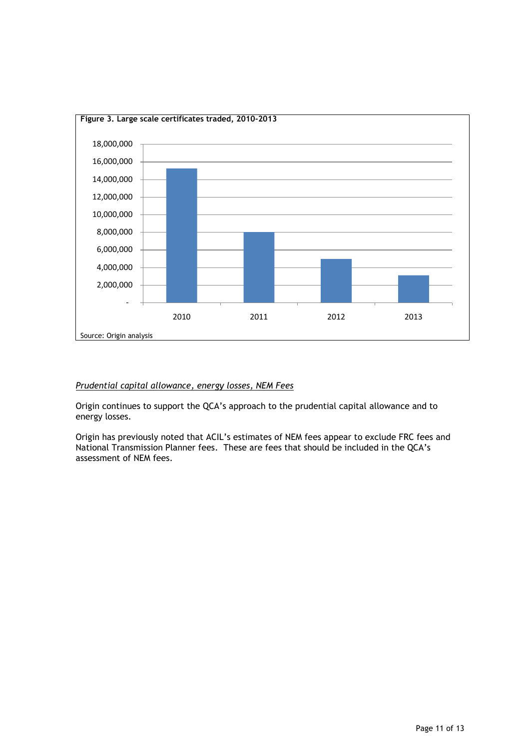

### *Prudential capital allowance, energy losses, NEM Fees*

Origin continues to support the QCA"s approach to the prudential capital allowance and to energy losses.

Origin has previously noted that ACIL"s estimates of NEM fees appear to exclude FRC fees and National Transmission Planner fees. These are fees that should be included in the QCA"s assessment of NEM fees.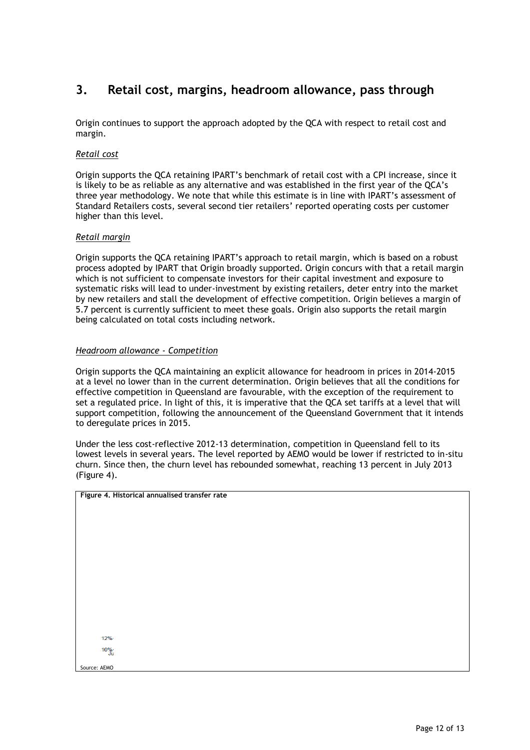# **3. Retail cost, margins, headroom allowance, pass through**

Origin continues to support the approach adopted by the QCA with respect to retail cost and margin.

#### *Retail cost*

Origin supports the QCA retaining IPART"s benchmark of retail cost with a CPI increase, since it is likely to be as reliable as any alternative and was established in the first year of the QCA"s three year methodology. We note that while this estimate is in line with IPART's assessment of Standard Retailers costs, several second tier retailers' reported operating costs per customer higher than this level.

#### *Retail margin*

Origin supports the QCA retaining IPART"s approach to retail margin, which is based on a robust process adopted by IPART that Origin broadly supported. Origin concurs with that a retail margin which is not sufficient to compensate investors for their capital investment and exposure to systematic risks will lead to under-investment by existing retailers, deter entry into the market by new retailers and stall the development of effective competition. Origin believes a margin of 5.7 percent is currently sufficient to meet these goals. Origin also supports the retail margin being calculated on total costs including network.

#### *Headroom allowance - Competition*

Origin supports the QCA maintaining an explicit allowance for headroom in prices in 2014-2015 at a level no lower than in the current determination. Origin believes that all the conditions for effective competition in Queensland are favourable, with the exception of the requirement to set a regulated price. In light of this, it is imperative that the QCA set tariffs at a level that will support competition, following the announcement of the Queensland Government that it intends to deregulate prices in 2015.

Under the less cost-reflective 2012-13 determination, competition in Queensland fell to its lowest levels in several years. The level reported by AEMO would be lower if restricted to in-situ churn. Since then, the churn level has rebounded somewhat, reaching 13 percent in July 2013 (Figure 4).

**Figure 4. Historical annualised transfer rate**

 $12%$  $10\%$ 

Source: AEMO